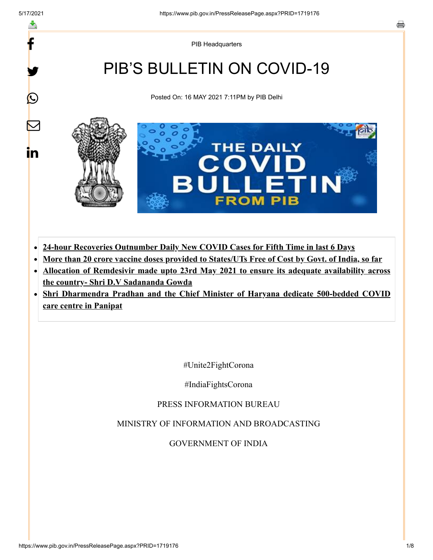f

y.

 $\bigcirc$ 

 $\blacktriangledown$ 

in

PIB Headquarters

# PIB'S BULLETIN ON COVID-19

Posted On: 16 MAY 2021 7:11PM by PIB Delhi



- **24-hour Recoveries Outnumber Daily New COVID Cases for Fifth Time in last 6 Days**
- **More than 20 crore vaccine doses provided to States/UTs Free of Cost by Govt. of India, so far**
- **Allocation of Remdesivir made upto 23rd May 2021 to ensure its adequate availability across the country- Shri D.V Sadananda Gowda**
- **Shri Dharmendra Pradhan and the Chief Minister of Haryana dedicate 500-bedded COVID care centre in Panipat**

#Unite2FightCorona

#IndiaFightsCorona

PRESS INFORMATION BUREAU

MINISTRY OF INFORMATION AND BROADCASTING

GOVERNMENT OF INDIA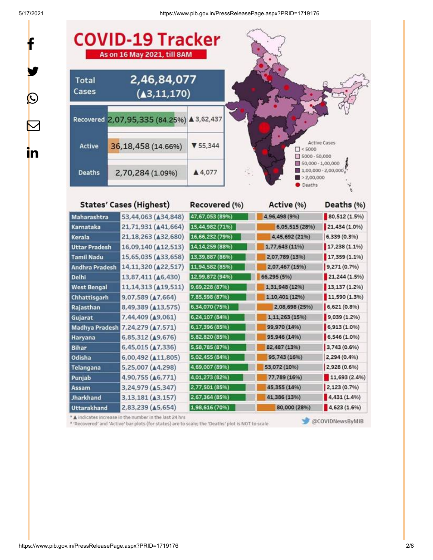f

y.

 $\bigcirc$ 

 $\bm{\nabla}$ 

in

5/17/2021 https://www.pib.gov.in/PressReleasePage.aspx?PRID=1719176



| Karnataka          | 21,71,931 (A41,664)              | 15,44,982 (71%)   | 6,05,515 (28%) | 21,434 (1.0%) |
|--------------------|----------------------------------|-------------------|----------------|---------------|
| Kerala             | 21,18,263 (432,680)              | 16,66,232 (79%)   | 4,45,692 (21%) | 6,339 (0.3%)  |
| Uttar Pradesh      | 16,09,140 ( $\triangle$ 12,513)  | 14, 14, 259 (88%) | 1,77,643 (11%) | 17,238(1.1%   |
| <b>Tamil Nadu</b>  | 15,65,035 ( $\triangle$ 33,658)  | 13,39,887 (86%)   | 2,07,789 (13%) | 17,359 (1.1%) |
| Andhra Pradesh     | 14,11,320 (422,517)              | 11,94,582 (85%)   | 2,07,467 (15%) | 9,271(0.7%)   |
| Delhi              | 13,87,411 ( $\triangle$ 6,430)   | 12,99,872 (94%)   | 66,295 (5%)    | 21,244(1.5%)  |
| <b>West Bengal</b> | 11,14,313 (419,511)              | 9,69,228 (87%)    | 1,31,948 (12%) | 13,137(1.2%)  |
| Chhattisgarh       | $9,07,589$ ( $\triangle 7,664$ ) | 7,85,598 (87%)    | 1,10,401 (12%) | 11,590 (1.3%) |
| Rajasthan          | 8,49,389 (413,575)               | 6,34,070 (75%)    | 2,08,698 (25%) | 6,621(0.8%)   |
| Gujarat            | 7,44,409 (49,061)                | 6,24,107 (84%)    | 1,11,263 (15%) | 9,039 (1.2%)  |
| Madhya Pradesh     | 7,24,279 ( $\triangle$ 7,571)    | 6,17,396 (85%)    | 99,970 (14%)   | 6,913(1.0%    |
| Haryana            | 6,85,312 (49,676)                | 5,82,820 (85%)    | 95,946 (14%)   | 6,546(1.0%    |
| <b>Bihar</b>       | 6,45,015 (47,336)                | 5,58,785 (87%)    | 82,487 (13%)   | 3,743 (0.6%)  |
| Odisha             | 6,00,492 ( $\triangle 11,805$ )  | 5,02,455 (84%)    | 95,743 (16%)   | 2,294 (0.4%)  |
| Telangana          | 5,25,007 ( $\triangle$ 4,298)    | 4,69,007 (89%)    | 53,072 (10%)   | 2,928 (0.6%)  |
| Punjab             | 4,90,755 ( $\triangle$ 6,771)    | 4,01,273 (82%)    | 77,789 (16%)   | 11,693(2.4%)  |
| Assam              | 3,24,979 (A5,347)                | 2,77,501 (85%)    | 45,355 (14%)   | 2,123(0.7%    |
| <b>Jharkhand</b>   | 3,13,181 ( $\triangle$ 3,157)    | 2,67,364 (85%)    | 41,386 (13%)   | 4,431(1.4%)   |
| <b>Uttarakhand</b> | 2,83,239 ( $\triangle$ 5,654)    | 1,98,616 (70%)    | 80,000 (28%)   | 4,623(1.6%)   |

\* A indicates increase in the number in the last 24 hrs

\* 'Recovered' and 'Active' bar plots (for states) are to scale; the 'Deaths' plot is NOT to scale

@COVIDNewsByMIB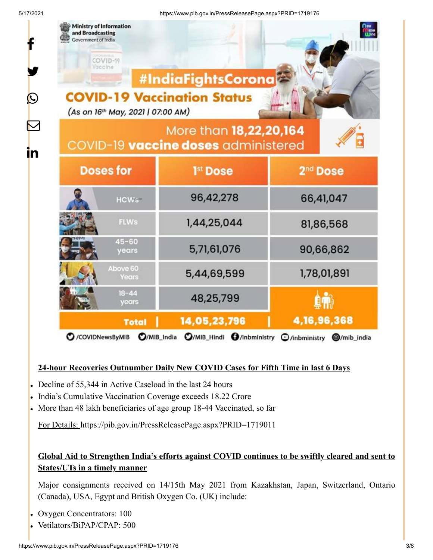f

y.

 $\bm{\mathcal{Q}}$ 

 $\bm{\nabla}$ 

in

| Ministry of Information<br>and Broadcasting<br>Government of India<br>COVID-19<br>Vaccine<br><b>COVID-19 Vaccination Status</b><br>(As on 16th May, 2021   07:00 AM) | #IndiaFightsCorona                                                                                                      | <b>Line</b>          |  |  |  |
|----------------------------------------------------------------------------------------------------------------------------------------------------------------------|-------------------------------------------------------------------------------------------------------------------------|----------------------|--|--|--|
| More than 18,22,20,164<br>COVID-19 vaccine doses administered                                                                                                        |                                                                                                                         |                      |  |  |  |
| <b>Doses for</b>                                                                                                                                                     | 1 <sup>st</sup> Dose                                                                                                    | 2 <sup>nd</sup> Dose |  |  |  |
| HCW <sub>5</sub>                                                                                                                                                     | 96,42,278                                                                                                               | 66,41,047            |  |  |  |
| FLWs                                                                                                                                                                 | 1,44,25,044                                                                                                             | 81,86,568            |  |  |  |
| $45 - 60$<br>years                                                                                                                                                   | 5,71,61,076                                                                                                             | 90,66,862            |  |  |  |
| Above 60<br>Years                                                                                                                                                    | 5,44,69,599                                                                                                             | 1,78,01,891          |  |  |  |
| $18 - 44$<br>years                                                                                                                                                   | 48,25,799                                                                                                               |                      |  |  |  |
| <b>Total</b><br>C /COVIDNewsByMIB                                                                                                                                    | 14,05,23,796<br>$\Omega$ /MIB India $\Omega$ /MIB Hindi $\Omega$ /inbministry $\Omega$ /inbministry $\Omega$ /mib india | 4, 16, 96, 368       |  |  |  |

### **24-hour Recoveries Outnumber Daily New COVID Cases for Fifth Time in last 6 Days**

- Decline of 55,344 in Active Caseload in the last 24 hours
- India's Cumulative Vaccination Coverage exceeds 18.22 Crore
- More than 48 lakh beneficiaries of age group 18-44 Vaccinated, so far

For Details: <https://pib.gov.in/PressReleasePage.aspx?PRID=1719011>

### **Global Aid to Strengthen India's efforts against COVID continues to be swiftly cleared and sent to States/UTs in a timely manner**

Major consignments received on 14/15th May 2021 from Kazakhstan, Japan, Switzerland, Ontario (Canada), USA, Egypt and British Oxygen Co. (UK) include:

- Oxygen Concentrators: 100  $\bullet$
- Vetilators/BiPAP/CPAP: 500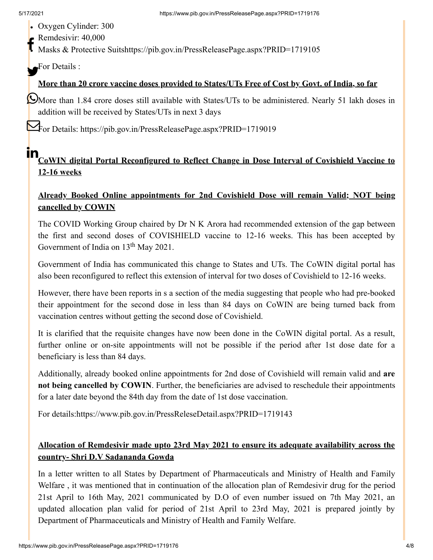- Oxygen Cylinder: 300
- Remdesivir: 40,000  $f$

Masks & Protective Suits<https://pib.gov.in/PressReleasePage.aspx?PRID=1719105>

For Details :

## **More than 20 crore vaccine doses provided to States/UTs Free of Cost by Govt. of India, so far**

More than 1.84 crore doses still available with States/UTs to be administered. Nearly 51 lakh doses in addition will be received by States/UTs in next 3 days

For Details: <https://pib.gov.in/PressReleasePage.aspx?PRID=1719019>

# **in**<br>CoWIN digital Portal Reconfigured to Reflect Change in Dose Interval of Covishield Vaccine to **12-16 weeks**

### **Already Booked Online appointments for 2nd Covishield Dose will remain Valid; NOT being cancelled by COWIN**

The COVID Working Group chaired by Dr N K Arora had recommended extension of the gap between the first and second doses of COVISHIELD vaccine to 12-16 weeks. This has been accepted by Government of India on  $13<sup>th</sup>$  May 2021.

Government of India has communicated this change to States and UTs. The CoWIN digital portal has also been reconfigured to reflect this extension of interval for two doses of Covishield to 12-16 weeks.

However, there have been reports in s a section of the media suggesting that people who had pre-booked their appointment for the second dose in less than 84 days on CoWIN are being turned back from vaccination centres without getting the second dose of Covishield.

It is clarified that the requisite changes have now been done in the CoWIN digital portal. As a result, further online or on-site appointments will not be possible if the period after 1st dose date for a beneficiary is less than 84 days.

Additionally, already booked online appointments for 2nd dose of Covishield will remain valid and **are not being cancelled by COWIN**. Further, the beneficiaries are advised to reschedule their appointments for a later date beyond the 84th day from the date of 1st dose vaccination.

For details[:https://www.pib.gov.in/PressReleseDetail.aspx?PRID=1719143](https://www.pib.gov.in/PressReleseDetail.aspx?PRID=1719143)

### **Allocation of Remdesivir made upto 23rd May 2021 to ensure its adequate availability across the country- Shri D.V Sadananda Gowda**

In a letter written to all States by Department of Pharmaceuticals and Ministry of Health and Family Welfare , it was mentioned that in continuation of the allocation plan of Remdesivir drug for the period 21st April to 16th May, 2021 communicated by D.O of even number issued on 7th May 2021, an updated allocation plan valid for period of 21st April to 23rd May, 2021 is prepared jointly by Department of Pharmaceuticals and Ministry of Health and Family Welfare.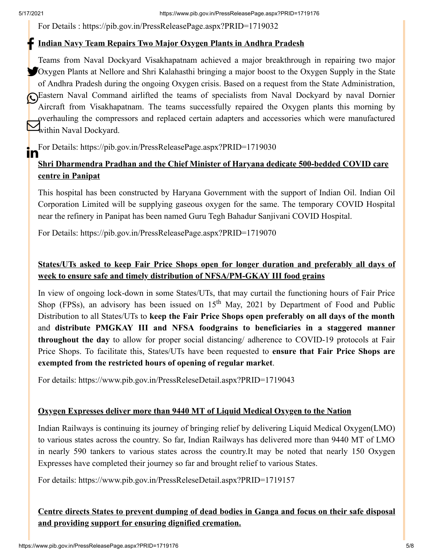For Details : <https://pib.gov.in/PressReleasePage.aspx?PRID=1719032>

# **Indian Navy Team Repairs Two Major Oxygen Plants in Andhra Pradesh**

Teams from Naval Dockyard Visakhapatnam achieved a major breakthrough in repairing two major Oxygen Plants at Nellore and Shri Kalahasthi bringing a major boost to the Oxygen Supply in the State of Andhra Pradesh during the ongoing Oxygen crisis. Based on a request from the State Administration, Eastern Naval Command airlifted the teams of specialists from Naval Dockyard by naval Dornier Aircraft from Visakhapatnam. The teams successfully repaired the Oxygen plants this morning by overhauling the compressors and replaced certain adapters and accessories which were manufactured Wernauing the compre

For Details: <https://pib.gov.in/PressReleasePage.aspx?PRID=1719030> ın

## **Shri Dharmendra Pradhan and the Chief Minister of Haryana dedicate 500-bedded COVID care centre in Panipat**

This hospital has been constructed by Haryana Government with the support of Indian Oil. Indian Oil Corporation Limited will be supplying gaseous oxygen for the same. The temporary COVID Hospital near the refinery in Panipat has been named Guru Tegh Bahadur Sanjivani COVID Hospital.

For Details: <https://pib.gov.in/PressReleasePage.aspx?PRID=1719070>

## **States/UTs asked to keep Fair Price Shops open for longer duration and preferably all days of week to ensure safe and timely distribution of NFSA/PM-GKAY III food grains**

In view of ongoing lock-down in some States/UTs, that may curtail the functioning hours of Fair Price Shop (FPSs), an advisory has been issued on  $15<sup>th</sup>$  May, 2021 by Department of Food and Public Distribution to all States/UTs to **keep the Fair Price Shops open preferably on all days of the month** and **distribute PMGKAY III and NFSA foodgrains to beneficiaries in a staggered manner throughout the day** to allow for proper social distancing/ adherence to COVID-19 protocols at Fair Price Shops. To facilitate this, States/UTs have been requested to **ensure that Fair Price Shops are exempted from the restricted hours of opening of regular market**.

For details:<https://www.pib.gov.in/PressReleseDetail.aspx?PRID=1719043>

### **Oxygen Expresses deliver more than 9440 MT of Liquid Medical Oxygen to the Nation**

Indian Railways is continuing its journey of bringing relief by delivering Liquid Medical Oxygen(LMO) to various states across the country. So far, Indian Railways has delivered more than 9440 MT of LMO in nearly 590 tankers to various states across the country.It may be noted that nearly 150 Oxygen Expresses have completed their journey so far and brought relief to various States.

For details:<https://www.pib.gov.in/PressReleseDetail.aspx?PRID=1719157>

### **Centre directs States to prevent dumping of dead bodies in Ganga and focus on their safe disposal and providing support for ensuring dignified cremation.**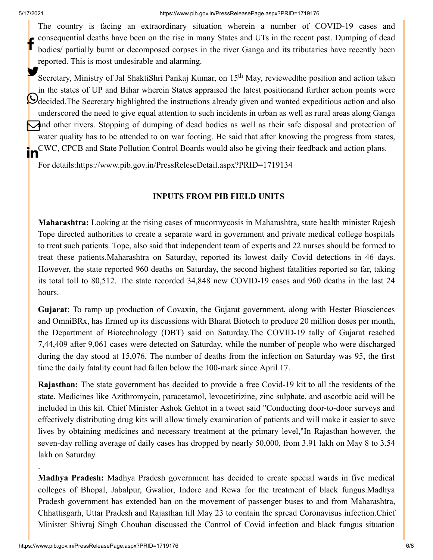The country is facing an extraordinary situation wherein a number of COVID-19 cases and consequential deaths have been on the rise in many States and UTs in the recent past. Dumping of dead bodies/ partially burnt or decomposed corpses in the river Ganga and its tributaries have recently been reported. This is most undesirable and alarming. f

Secretary, Ministry of Jal ShaktiShri Pankaj Kumar, on 15<sup>th</sup> May, reviewedthe position and action taken in the states of UP and Bihar wherein States appraised the latest positionand further action points were Odecided.The Secretary highlighted the instructions already given and wanted expeditious action and also underscored the need to give equal attention to such incidents in urban as well as rural areas along Ganga and other rivers. Stopping of dumping of dead bodies as well as their safe disposal and protection of water quality has to be attended to on war footing. He said that after knowing the progress from states, CWC, CPCB and State Pollution Control Boards would also be giving their feedback and action plans. ın

For details[:https://www.pib.gov.in/PressReleseDetail.aspx?PRID=1719134](https://www.pib.gov.in/PressReleseDetail.aspx?PRID=1719134)

#### **INPUTS FROM PIB FIELD UNITS**

**Maharashtra:** Looking at the rising cases of mucormycosis in Maharashtra, state health minister Rajesh Tope directed authorities to create a separate ward in government and private medical college hospitals to treat such patients. Tope, also said that independent team of experts and 22 nurses should be formed to treat these patients.Maharashtra on Saturday, reported its lowest daily Covid detections in 46 days. However, the state reported 960 deaths on Saturday, the second highest fatalities reported so far, taking its total toll to 80,512. The state recorded 34,848 new COVID-19 cases and 960 deaths in the last 24 hours.

**Gujarat**: To ramp up production of Covaxin, the Gujarat government, along with Hester Biosciences and OmniBRx, has firmed up its discussions with Bharat Biotech to produce 20 million doses per month, the Department of Biotechnology (DBT) said on Saturday.The COVID-19 tally of Gujarat reached 7,44,409 after 9,061 cases were detected on Saturday, while the number of people who were discharged during the day stood at 15,076. The number of deaths from the infection on Saturday was 95, the first time the daily fatality count had fallen below the 100-mark since April 17.

**Rajasthan:** The state government has decided to provide a free Covid-19 kit to all the residents of the state. Medicines like Azithromycin, paracetamol, levocetirizine, zinc sulphate, and ascorbic acid will be included in this kit. Chief Minister Ashok Gehtot in a tweet said "Conducting door-to-door surveys and effectively distributing drug kits will allow timely examination of patients and will make it easier to save lives by obtaining medicines and necessary treatment at the primary level,"In Rajasthan however, the seven-day rolling average of daily cases has dropped by nearly 50,000, from 3.91 lakh on May 8 to 3.54 lakh on Saturday.

**Madhya Pradesh:** Madhya Pradesh government has decided to create special wards in five medical colleges of Bhopal, Jabalpur, Gwalior, Indore and Rewa for the treatment of black fungus.Madhya Pradesh government has extended ban on the movement of passenger buses to and from Maharashtra, Chhattisgarh, Uttar Pradesh and Rajasthan till May 23 to contain the spread Coronavisus infection.Chief Minister Shivraj Singh Chouhan discussed the Control of Covid infection and black fungus situation

.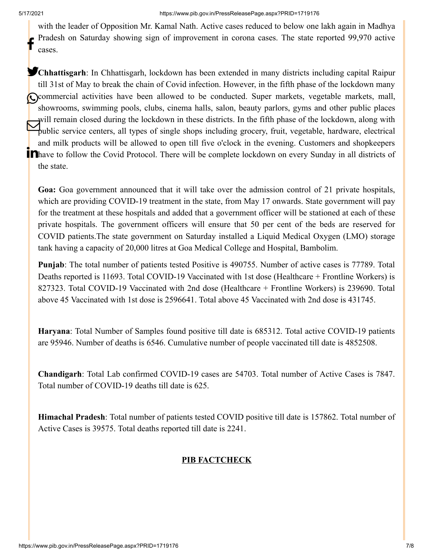with the leader of Opposition Mr. Kamal Nath. Active cases reduced to below one lakh again in Madhya Pradesh on Saturday showing sign of improvement in corona cases. The state reported 99,970 active cases. f

**Chhattisgarh**: In Chhattisgarh, lockdown has been extended in many districts including capital Raipur till 31st of May to break the chain of Covid infection. However, in the fifth phase of the lockdown many Commercial activities have been allowed to be conducted. Super markets, vegetable markets, mall, showrooms, swimming pools, clubs, cinema halls, salon, beauty parlors, gyms and other public places will remain closed during the lockdown in these districts. In the fifth phase of the lockdown, along with public service centers, all types of single shops including grocery, fruit, vegetable, hardware, electrical<br>public service centers, all types of single shops including grocery, fruit, vegetable, hardware, electrical and milk products will be allowed to open till five o'clock in the evening. Customers and shopkeepers **Thave to follow the Covid Protocol.** There will be complete lockdown on every Sunday in all districts of the state.

**Goa:** Goa government announced that it will take over the admission control of 21 private hospitals, which are providing COVID-19 treatment in the state, from May 17 onwards. State government will pay for the treatment at these hospitals and added that a government officer will be stationed at each of these private hospitals. The government officers will ensure that 50 per cent of the beds are reserved for COVID patients.The state government on Saturday installed a Liquid Medical Oxygen (LMO) storage tank having a capacity of 20,000 litres at Goa Medical College and Hospital, Bambolim.

**Punjab**: The total number of patients tested Positive is 490755. Number of active cases is 77789. Total Deaths reported is 11693. Total COVID-19 Vaccinated with 1st dose (Healthcare + Frontline Workers) is 827323. Total COVID-19 Vaccinated with 2nd dose (Healthcare + Frontline Workers) is 239690. Total above 45 Vaccinated with 1st dose is 2596641. Total above 45 Vaccinated with 2nd dose is 431745.

**Haryana**: Total Number of Samples found positive till date is 685312. Total active COVID-19 patients are 95946. Number of deaths is 6546. Cumulative number of people vaccinated till date is 4852508.

**Chandigarh**: Total Lab confirmed COVID-19 cases are 54703. Total number of Active Cases is 7847. Total number of COVID-19 deaths till date is 625.

**Himachal Pradesh**: Total number of patients tested COVID positive till date is 157862. Total number of Active Cases is 39575. Total deaths reported till date is 2241.

#### **PIB FACTCHECK**